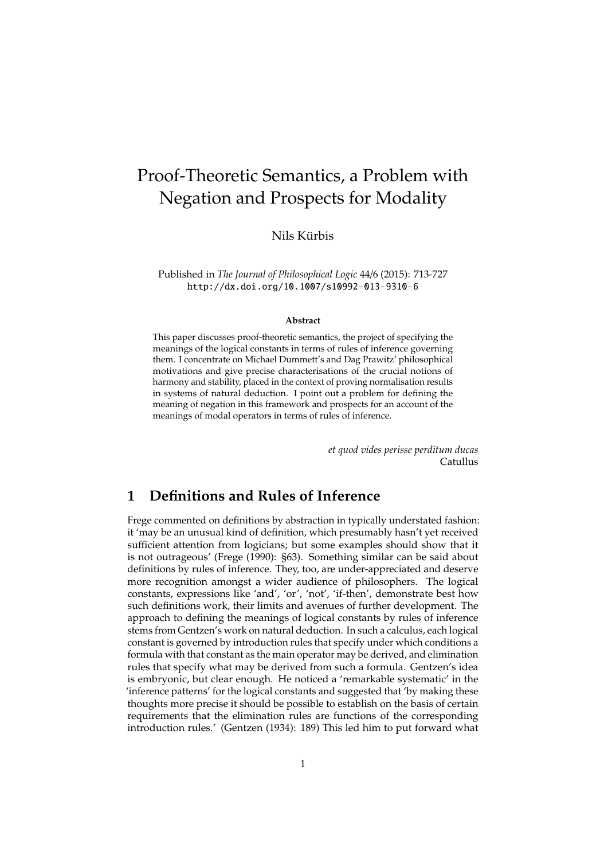# Proof-Theoretic Semantics, a Problem with Negation and Prospects for Modality

### Nils Kürbis

Published in *The Journal of Philosophical Logic* 44/6 (2015): 713-727 http://dx.doi.org/10.1007/s10992-013-9310-6

#### **Abstract**

This paper discusses proof-theoretic semantics, the project of specifying the meanings of the logical constants in terms of rules of inference governing them. I concentrate on Michael Dummett's and Dag Prawitz' philosophical motivations and give precise characterisations of the crucial notions of harmony and stability, placed in the context of proving normalisation results in systems of natural deduction. I point out a problem for defining the meaning of negation in this framework and prospects for an account of the meanings of modal operators in terms of rules of inference.

> *et quod vides perisse perditum ducas* Catullus

# **1 Definitions and Rules of Inference**

Frege commented on definitions by abstraction in typically understated fashion: it 'may be an unusual kind of definition, which presumably hasn't yet received sufficient attention from logicians; but some examples should show that it is not outrageous' (Frege (1990): §63). Something similar can be said about definitions by rules of inference. They, too, are under-appreciated and deserve more recognition amongst a wider audience of philosophers. The logical constants, expressions like 'and', 'or', 'not', 'if-then', demonstrate best how such definitions work, their limits and avenues of further development. The approach to defining the meanings of logical constants by rules of inference stems from Gentzen's work on natural deduction. In such a calculus, each logical constant is governed by introduction rules that specify under which conditions a formula with that constant as the main operator may be derived, and elimination rules that specify what may be derived from such a formula. Gentzen's idea is embryonic, but clear enough. He noticed a 'remarkable systematic' in the 'inference patterns' for the logical constants and suggested that 'by making these thoughts more precise it should be possible to establish on the basis of certain requirements that the elimination rules are functions of the corresponding introduction rules.' (Gentzen (1934): 189) This led him to put forward what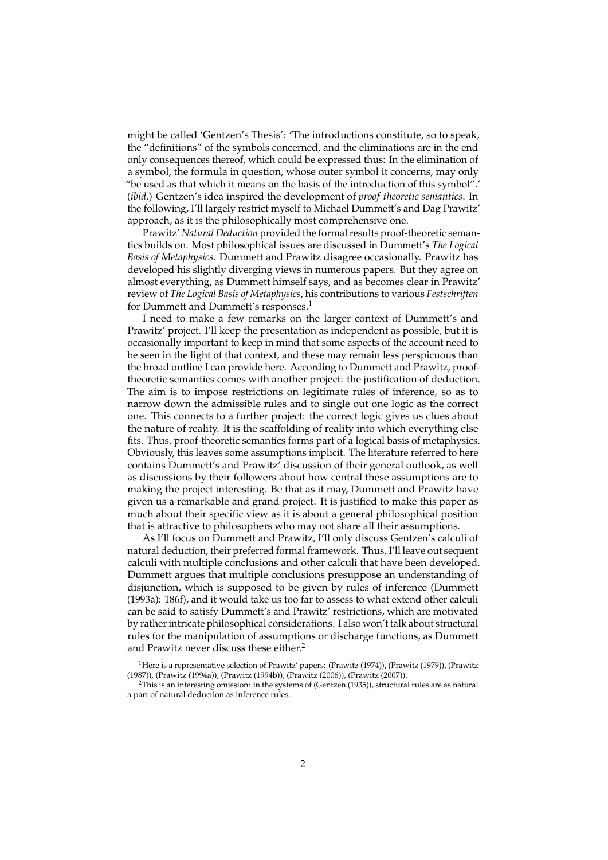might be called 'Gentzen's Thesis': 'The introductions constitute, so to speak, the "definitions" of the symbols concerned, and the eliminations are in the end only consequences thereof, which could be expressed thus: In the elimination of a symbol, the formula in question, whose outer symbol it concerns, may only "be used as that which it means on the basis of the introduction of this symbol".' (*ibid.*) Gentzen's idea inspired the development of *proof-theoretic semantics*. In the following, I'll largely restrict myself to Michael Dummett's and Dag Prawitz' approach, as it is the philosophically most comprehensive one.

Prawitz' *Natural Deduction* provided the formal results proof-theoretic semantics builds on. Most philosophical issues are discussed in Dummett's *The Logical Basis of Metaphysics*. Dummett and Prawitz disagree occasionally. Prawitz has developed his slightly diverging views in numerous papers. But they agree on almost everything, as Dummett himself says, and as becomes clear in Prawitz' review of *The Logical Basis of Metaphysics*, his contributions to various *Festschriften* for Dummett and Dummett's responses.<sup>1</sup>

I need to make a few remarks on the larger context of Dummett's and Prawitz' project. I'll keep the presentation as independent as possible, but it is occasionally important to keep in mind that some aspects of the account need to be seen in the light of that context, and these may remain less perspicuous than the broad outline I can provide here. According to Dummett and Prawitz, prooftheoretic semantics comes with another project: the justification of deduction. The aim is to impose restrictions on legitimate rules of inference, so as to narrow down the admissible rules and to single out one logic as the correct one. This connects to a further project: the correct logic gives us clues about the nature of reality. It is the scaffolding of reality into which everything else fits. Thus, proof-theoretic semantics forms part of a logical basis of metaphysics. Obviously, this leaves some assumptions implicit. The literature referred to here contains Dummett's and Prawitz' discussion of their general outlook, as well as discussions by their followers about how central these assumptions are to making the project interesting. Be that as it may, Dummett and Prawitz have given us a remarkable and grand project. It is justified to make this paper as much about their specific view as it is about a general philosophical position that is attractive to philosophers who may not share all their assumptions.

As I'll focus on Dummett and Prawitz, I'll only discuss Gentzen's calculi of natural deduction, their preferred formal framework. Thus, I'll leave out sequent calculi with multiple conclusions and other calculi that have been developed. Dummett argues that multiple conclusions presuppose an understanding of disjunction, which is supposed to be given by rules of inference (Dummett (1993a): 186f), and it would take us too far to assess to what extend other calculi can be said to satisfy Dummett's and Prawitz' restrictions, which are motivated by rather intricate philosophical considerations. I also won't talk about structural rules for the manipulation of assumptions or discharge functions, as Dummett and Prawitz never discuss these either.<sup>2</sup>

<sup>&</sup>lt;sup>1</sup>Here is a representative selection of Prawitz' papers: (Prawitz (1974)), (Prawitz (1979)), (Prawitz (1987)), (Prawitz (1994a)), (Prawitz (1994b)), (Prawitz (2006)), (Prawitz (2007)).

 $2$ This is an interesting omission: in the systems of (Gentzen (1935)), structural rules are as natural a part of natural deduction as inference rules.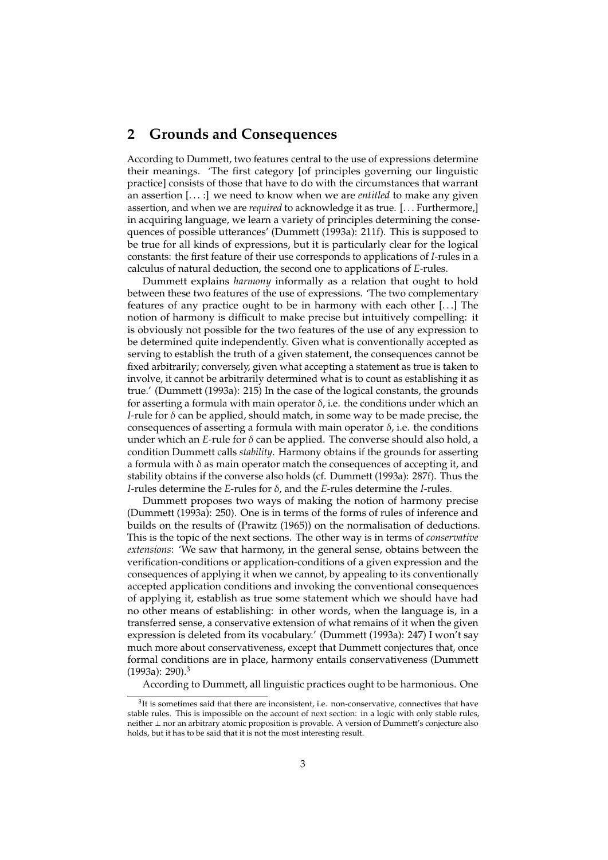## **2 Grounds and Consequences**

According to Dummett, two features central to the use of expressions determine their meanings. 'The first category [of principles governing our linguistic practice] consists of those that have to do with the circumstances that warrant an assertion [. . . :] we need to know when we are *entitled* to make any given assertion, and when we are *required* to acknowledge it as true. [. . . Furthermore,] in acquiring language, we learn a variety of principles determining the consequences of possible utterances' (Dummett (1993a): 211f). This is supposed to be true for all kinds of expressions, but it is particularly clear for the logical constants: the first feature of their use corresponds to applications of *I*-rules in a calculus of natural deduction, the second one to applications of *E*-rules.

Dummett explains *harmony* informally as a relation that ought to hold between these two features of the use of expressions. 'The two complementary features of any practice ought to be in harmony with each other [. . .] The notion of harmony is difficult to make precise but intuitively compelling: it is obviously not possible for the two features of the use of any expression to be determined quite independently. Given what is conventionally accepted as serving to establish the truth of a given statement, the consequences cannot be fixed arbitrarily; conversely, given what accepting a statement as true is taken to involve, it cannot be arbitrarily determined what is to count as establishing it as true.' (Dummett (1993a): 215) In the case of the logical constants, the grounds for asserting a formula with main operator  $\delta$ , i.e. the conditions under which an *I*-rule for  $\delta$  can be applied, should match, in some way to be made precise, the consequences of asserting a formula with main operator  $\delta$ , i.e. the conditions under which an *E*-rule for δ can be applied. The converse should also hold, a condition Dummett calls *stability*. Harmony obtains if the grounds for asserting a formula with  $\delta$  as main operator match the consequences of accepting it, and stability obtains if the converse also holds (cf. Dummett (1993a): 287f). Thus the *I*-rules determine the *E*-rules for δ, and the *E*-rules determine the *I*-rules.

Dummett proposes two ways of making the notion of harmony precise (Dummett (1993a): 250). One is in terms of the forms of rules of inference and builds on the results of (Prawitz (1965)) on the normalisation of deductions. This is the topic of the next sections. The other way is in terms of *conservative extensions*: 'We saw that harmony, in the general sense, obtains between the verification-conditions or application-conditions of a given expression and the consequences of applying it when we cannot, by appealing to its conventionally accepted application conditions and invoking the conventional consequences of applying it, establish as true some statement which we should have had no other means of establishing: in other words, when the language is, in a transferred sense, a conservative extension of what remains of it when the given expression is deleted from its vocabulary.' (Dummett (1993a): 247) I won't say much more about conservativeness, except that Dummett conjectures that, once formal conditions are in place, harmony entails conservativeness (Dummett  $(1993a): 290).$ <sup>3</sup>

According to Dummett, all linguistic practices ought to be harmonious. One

 $3$ It is sometimes said that there are inconsistent, i.e. non-conservative, connectives that have stable rules. This is impossible on the account of next section: in a logic with only stable rules, neither ⊥ nor an arbitrary atomic proposition is provable. A version of Dummett's conjecture also holds, but it has to be said that it is not the most interesting result.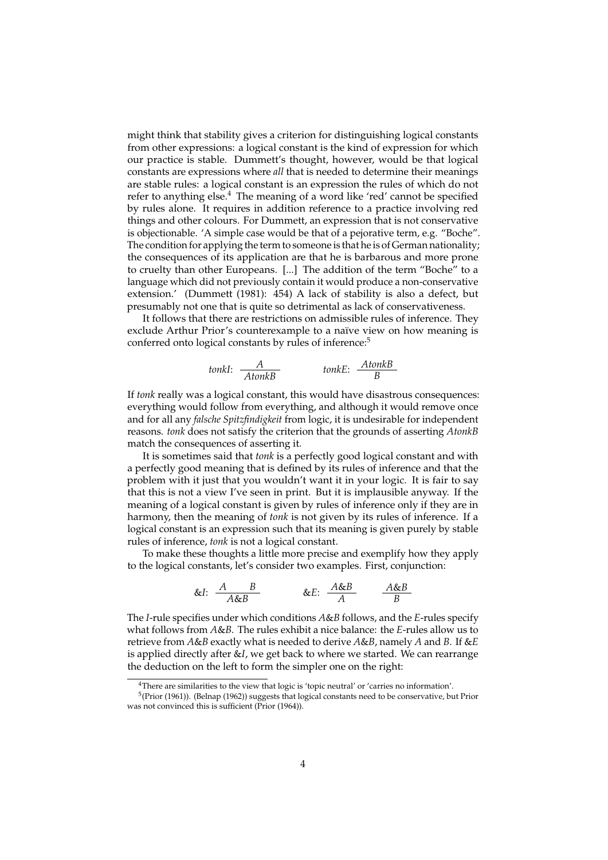might think that stability gives a criterion for distinguishing logical constants from other expressions: a logical constant is the kind of expression for which our practice is stable. Dummett's thought, however, would be that logical constants are expressions where *all* that is needed to determine their meanings are stable rules: a logical constant is an expression the rules of which do not refer to anything else.<sup>4</sup> The meaning of a word like 'red' cannot be specified by rules alone. It requires in addition reference to a practice involving red things and other colours. For Dummett, an expression that is not conservative is objectionable. 'A simple case would be that of a pejorative term, e.g. "Boche". The condition for applying the term to someone is that he is of German nationality; the consequences of its application are that he is barbarous and more prone to cruelty than other Europeans. [...] The addition of the term "Boche" to a language which did not previously contain it would produce a non-conservative extension.' (Dummett (1981): 454) A lack of stability is also a defect, but presumably not one that is quite so detrimental as lack of conservativeness.

It follows that there are restrictions on admissible rules of inference. They exclude Arthur Prior's counterexample to a naïve view on how meaning is conferred onto logical constants by rules of inference:<sup>5</sup>

*tonkI*: 
$$
\frac{A}{AtonkB}
$$
 *tonkE*:  $\frac{AtonkB}{B}$ 

If *tonk* really was a logical constant, this would have disastrous consequences: everything would follow from everything, and although it would remove once and for all any *falsche Spitzfindigkeit* from logic, it is undesirable for independent reasons. *tonk* does not satisfy the criterion that the grounds of asserting *AtonkB* match the consequences of asserting it.

It is sometimes said that *tonk* is a perfectly good logical constant and with a perfectly good meaning that is defined by its rules of inference and that the problem with it just that you wouldn't want it in your logic. It is fair to say that this is not a view I've seen in print. But it is implausible anyway. If the meaning of a logical constant is given by rules of inference only if they are in harmony, then the meaning of *tonk* is not given by its rules of inference. If a logical constant is an expression such that its meaning is given purely by stable rules of inference, *tonk* is not a logical constant.

To make these thoughts a little more precise and exemplify how they apply to the logical constants, let's consider two examples. First, conjunction:

&I: 
$$
\frac{A}{A\&B}
$$
 & &E:  $\frac{A\&B}{A}$  &  $\frac{A\&B}{B}$ 

The *I*-rule specifies under which conditions *A*&*B* follows, and the *E*-rules specify what follows from *A*&*B*. The rules exhibit a nice balance: the *E*-rules allow us to retrieve from *A*&*B* exactly what is needed to derive *A*&*B*, namely *A* and *B*. If &*E* is applied directly after &*I*, we get back to where we started. We can rearrange the deduction on the left to form the simpler one on the right:

<sup>&</sup>lt;sup>4</sup>There are similarities to the view that logic is 'topic neutral' or 'carries no information'.

<sup>&</sup>lt;sup>5</sup>(Prior (1961)). (Belnap (1962)) suggests that logical constants need to be conservative, but Prior was not convinced this is sufficient (Prior (1964)).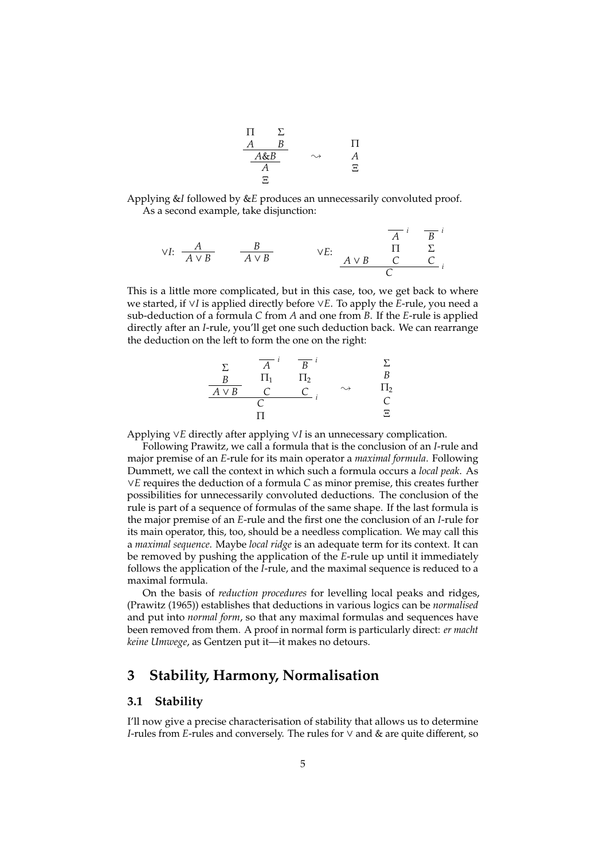$$
\begin{array}{ccc}\n\Pi & \Sigma \\
\underline{A} & B \\
\underline{A\&B} \\
\underline{A} & A \\
\underline{A} & \Xi\n\end{array} \qquad \sim \qquad \begin{array}{ccc}\n\Pi \\
A \\
\underline{A} \\
\Xi\n\end{array}
$$

Applying &*I* followed by &*E* produces an unnecessarily convoluted proof. As a second example, take disjunction:

$$
\forall I: \begin{array}{ccc} \begin{array}{ccc} A & B \\ \hline A \lor B \end{array} & \begin{array}{ccc} \overline{B} & \vee E \\ \hline A \lor B \end{array} & \begin{array}{ccc} \overline{A} & i & \overline{B} & i \\ \Pi & \Sigma & \overline{C} & \overline{C} \\ \hline \end{array} \end{array}
$$

This is a little more complicated, but in this case, too, we get back to where we started, if ∨*I* is applied directly before ∨*E*. To apply the *E*-rule, you need a sub-deduction of a formula *C* from *A* and one from *B*. If the *E*-rule is applied directly after an *I*-rule, you'll get one such deduction back. We can rearrange the deduction on the left to form the one on the right:

$$
\begin{array}{c}\n\Sigma & \overline{A}^i & \overline{B}^i & \Sigma \\
\underline{B} & \Pi_1 & \Pi_2 & B \\
\underline{A \vee B} & C & C \\
\hline\n\Gamma & \Gamma\n\end{array}
$$

Applying ∨*E* directly after applying ∨*I* is an unnecessary complication.

Following Prawitz, we call a formula that is the conclusion of an *I*-rule and major premise of an *E*-rule for its main operator a *maximal formula*. Following Dummett, we call the context in which such a formula occurs a *local peak*. As ∨*E* requires the deduction of a formula *C* as minor premise, this creates further possibilities for unnecessarily convoluted deductions. The conclusion of the rule is part of a sequence of formulas of the same shape. If the last formula is the major premise of an *E*-rule and the first one the conclusion of an *I*-rule for its main operator, this, too, should be a needless complication. We may call this a *maximal sequence*. Maybe *local ridge* is an adequate term for its context. It can be removed by pushing the application of the *E*-rule up until it immediately follows the application of the *I*-rule, and the maximal sequence is reduced to a maximal formula.

On the basis of *reduction procedures* for levelling local peaks and ridges, (Prawitz (1965)) establishes that deductions in various logics can be *normalised* and put into *normal form*, so that any maximal formulas and sequences have been removed from them. A proof in normal form is particularly direct: *er macht keine Umwege*, as Gentzen put it—it makes no detours.

## **3 Stability, Harmony, Normalisation**

### **3.1 Stability**

I'll now give a precise characterisation of stability that allows us to determine *I*-rules from *E*-rules and conversely. The rules for ∨ and & are quite different, so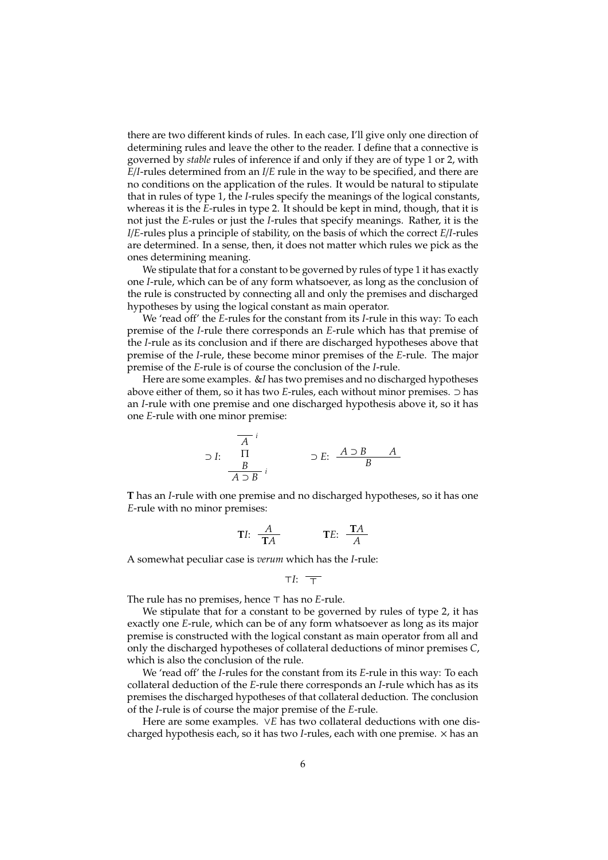there are two different kinds of rules. In each case, I'll give only one direction of determining rules and leave the other to the reader. I define that a connective is governed by *stable* rules of inference if and only if they are of type 1 or 2, with *E*/*I*-rules determined from an *I*/*E* rule in the way to be specified, and there are no conditions on the application of the rules. It would be natural to stipulate that in rules of type 1, the *I*-rules specify the meanings of the logical constants, whereas it is the *E*-rules in type 2. It should be kept in mind, though, that it is not just the *E*-rules or just the *I*-rules that specify meanings. Rather, it is the *I*/*E*-rules plus a principle of stability, on the basis of which the correct *E*/*I*-rules are determined. In a sense, then, it does not matter which rules we pick as the ones determining meaning.

We stipulate that for a constant to be governed by rules of type 1 it has exactly one *I*-rule, which can be of any form whatsoever, as long as the conclusion of the rule is constructed by connecting all and only the premises and discharged hypotheses by using the logical constant as main operator.

We 'read off' the *E*-rules for the constant from its *I*-rule in this way: To each premise of the *I*-rule there corresponds an *E*-rule which has that premise of the *I*-rule as its conclusion and if there are discharged hypotheses above that premise of the *I*-rule, these become minor premises of the *E*-rule. The major premise of the *E*-rule is of course the conclusion of the *I*-rule.

Here are some examples. &*I* has two premises and no discharged hypotheses above either of them, so it has two *E*-rules, each without minor premises. ⊃ has an *I*-rule with one premise and one discharged hypothesis above it, so it has one *E*-rule with one minor premise:

$$
\supset I: \begin{array}{c} \overline{A} \\ \Pi \\ \hline B \\ \overline{A \supset B} \\ i \end{array} \qquad \supset E: \begin{array}{c} A \supset B \\ \overline{B} \\ \hline \end{array} \qquad A
$$

**T** has an *I*-rule with one premise and no discharged hypotheses, so it has one *E*-rule with no minor premises:

$$
TI: \frac{A}{TA} \qquad \qquad TE: \frac{TA}{A}
$$

A somewhat peculiar case is *verum* which has the *I*-rule:

$$
\top I: \ \overline{\top}
$$

The rule has no premises, hence  $\top$  has no *E*-rule.

We stipulate that for a constant to be governed by rules of type 2, it has exactly one *E*-rule, which can be of any form whatsoever as long as its major premise is constructed with the logical constant as main operator from all and only the discharged hypotheses of collateral deductions of minor premises *C*, which is also the conclusion of the rule.

We 'read off' the *I*-rules for the constant from its *E*-rule in this way: To each collateral deduction of the *E*-rule there corresponds an *I*-rule which has as its premises the discharged hypotheses of that collateral deduction. The conclusion of the *I*-rule is of course the major premise of the *E*-rule.

Here are some examples. ∨*E* has two collateral deductions with one discharged hypothesis each, so it has two *I*-rules, each with one premise. × has an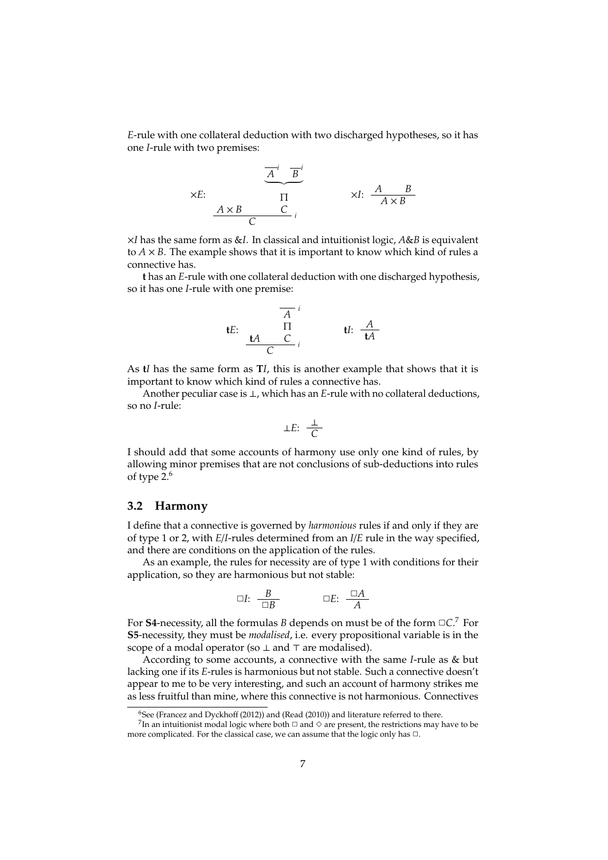*E*-rule with one collateral deduction with two discharged hypotheses, so it has one *I*-rule with two premises:

$$
\times E: \begin{array}{c}\n\overline{A}^i \quad \overline{B}^i \\
\overline{A}^i \quad \overline{B}^i \\
\overline{\Pi}^i \quad \overline{A}^i \quad \overline{A}^i \\
\overline{A}^i \quad \overline{C}^i\n\end{array}
$$

×*I* has the same form as &*I*. In classical and intuitionist logic, *A*&*B* is equivalent to  $A \times B$ . The example shows that it is important to know which kind of rules a connective has.

**t** has an *E*-rule with one collateral deduction with one discharged hypothesis, so it has one *I*-rule with one premise:

$$
\begin{array}{c}\n\overline{A}^i \\
\text{H:} \\
\frac{\text{H}}{\text{C}}^i \\
\end{array}
$$

As **t***I* has the same form as **T***I*, this is another example that shows that it is important to know which kind of rules a connective has.

Another peculiar case is ⊥, which has an *E*-rule with no collateral deductions, so no *I*-rule:

$$
\perp E: \frac{\perp}{C}
$$

I should add that some accounts of harmony use only one kind of rules, by allowing minor premises that are not conclusions of sub-deductions into rules of type 2.<sup>6</sup>

#### **3.2 Harmony**

I define that a connective is governed by *harmonious* rules if and only if they are of type 1 or 2, with *E*/*I*-rules determined from an *I*/*E* rule in the way specified, and there are conditions on the application of the rules.

As an example, the rules for necessity are of type 1 with conditions for their application, so they are harmonious but not stable:

$$
\Box I: \quad \frac{B}{\Box B} \qquad \qquad \Box E: \quad \frac{\Box A}{A}
$$

For **S4**-necessity, all the formulas *B* depends on must be of the form  $\Box C$ . For **S5**-necessity, they must be *modalised*, i.e. every propositional variable is in the scope of a modal operator (so  $\perp$  and  $\top$  are modalised).

According to some accounts, a connective with the same *I*-rule as & but lacking one if its *E*-rules is harmonious but not stable. Such a connective doesn't appear to me to be very interesting, and such an account of harmony strikes me as less fruitful than mine, where this connective is not harmonious. Connectives

 $6$ See (Francez and Dyckhoff (2012)) and (Read (2010)) and literature referred to there.

 $^{7}$ In an intuitionist modal logic where both  $\Box$  and  $\diamond$  are present, the restrictions may have to be more complicated. For the classical case, we can assume that the logic only has  $\Box$ .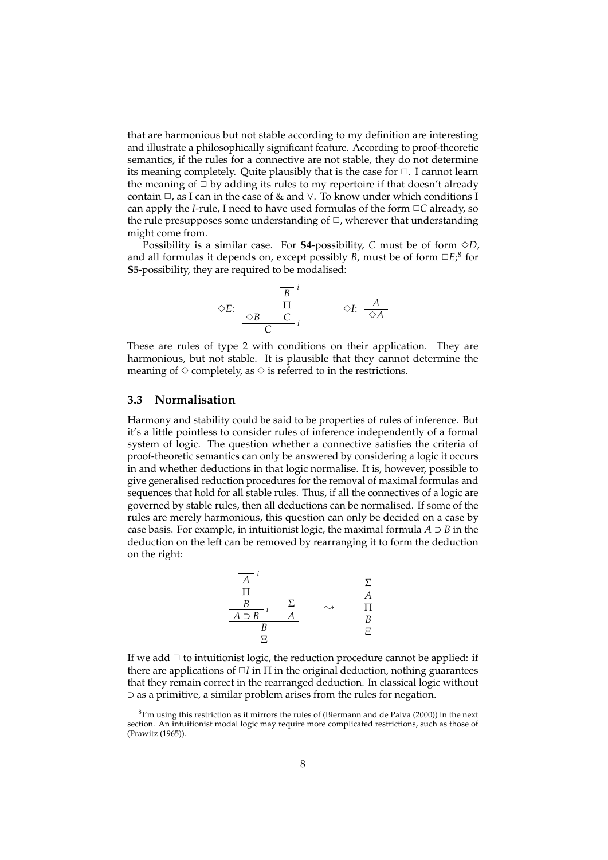that are harmonious but not stable according to my definition are interesting and illustrate a philosophically significant feature. According to proof-theoretic semantics, if the rules for a connective are not stable, they do not determine its meaning completely. Quite plausibly that is the case for  $\Box$ . I cannot learn the meaning of  $\Box$  by adding its rules to my repertoire if that doesn't already contain  $\Box$ , as I can in the case of & and  $\lor$ . To know under which conditions I can apply the *I*-rule, I need to have used formulas of the form  $\Box C$  already, so the rule presupposes some understanding of  $\Box$ , wherever that understanding might come from.

Possibility is a similar case. For **S4**-possibility, *C* must be of form  $\Diamond D$ , and all formulas it depends on, except possibly *B*, must be of form  $\Box E$ ,<sup>8</sup> for **S5**-possibility, they are required to be modalised:

$$
\Diamond E: \begin{array}{c} \overline{B}^{i} \\ \Box \Pi \\ \hline C & i \end{array} \qquad \Diamond I: \begin{array}{c} A \\ \hline \Diamond A \end{array}
$$

These are rules of type 2 with conditions on their application. They are harmonious, but not stable. It is plausible that they cannot determine the meaning of  $\diamond$  completely, as  $\diamond$  is referred to in the restrictions.

## **3.3 Normalisation**

Harmony and stability could be said to be properties of rules of inference. But it's a little pointless to consider rules of inference independently of a formal system of logic. The question whether a connective satisfies the criteria of proof-theoretic semantics can only be answered by considering a logic it occurs in and whether deductions in that logic normalise. It is, however, possible to give generalised reduction procedures for the removal of maximal formulas and sequences that hold for all stable rules. Thus, if all the connectives of a logic are governed by stable rules, then all deductions can be normalised. If some of the rules are merely harmonious, this question can only be decided on a case by case basis. For example, in intuitionist logic, the maximal formula  $A \supset B$  in the deduction on the left can be removed by rearranging it to form the deduction on the right:

$$
\begin{array}{c|cc}\n\overline{A} & i & & \Sigma \\
\hline\n\Pi & & & A \\
\underline{B} & i & \Sigma & \longrightarrow & \Pi \\
\underline{A \supset B} & A & & B \\
\underline{B} & & & \Xi\n\end{array}
$$

If we add  $\Box$  to intuitionist logic, the reduction procedure cannot be applied: if there are applications of  $\Box I$  in  $\Pi$  in the original deduction, nothing guarantees that they remain correct in the rearranged deduction. In classical logic without ⊃ as a primitive, a similar problem arises from the rules for negation.

 ${}^{8}I'$ m using this restriction as it mirrors the rules of (Biermann and de Paiva (2000)) in the next section. An intuitionist modal logic may require more complicated restrictions, such as those of (Prawitz (1965)).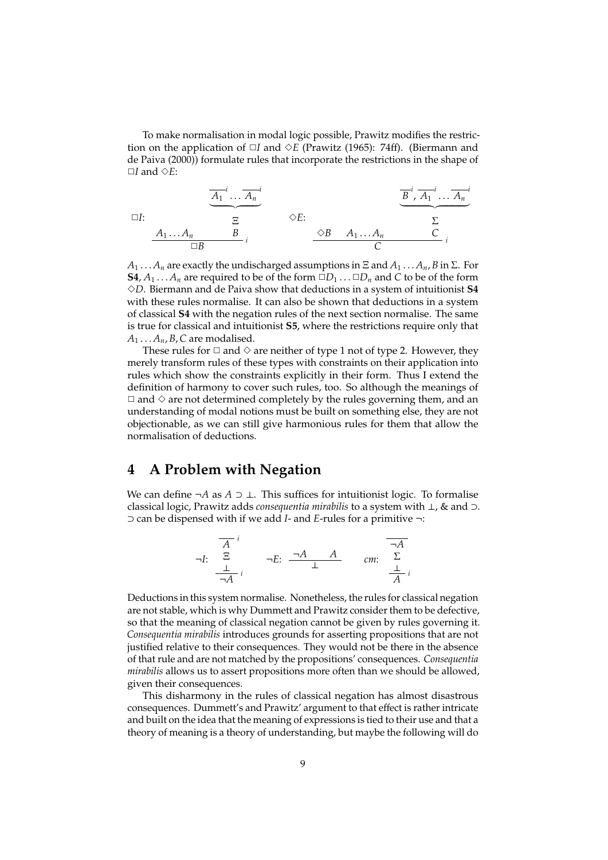To make normalisation in modal logic possible, Prawitz modifies the restriction on the application of  $\Box I$  and  $\Diamond E$  (Prawitz (1965): 74ff). (Biermann and de Paiva (2000)) formulate rules that incorporate the restrictions in the shape of ✷*I* and ✸*E*:

$$
\overline{A_1}^i \dots \overline{A_n}^i
$$
\n
$$
\overline{B}^i, \overline{A_1}^i \dots \overline{A_n}^i
$$
\n
$$
\overline{B}^i, \overline{A_1}^i \dots \overline{A_n}^i
$$
\n
$$
\overline{B}^i, \overline{A_1}^i \dots \overline{A_n}^i
$$
\n
$$
\overline{C}
$$
\n
$$
\overline{C}
$$
\n
$$
\overline{C}
$$

 $A_1 \ldots A_n$  are exactly the undischarged assumptions in  $\Xi$  and  $A_1 \ldots A_n$ , *B* in  $\Sigma$ . For **S4**,  $A_1 \ldots A_n$  are required to be of the form  $\Box D_1 \ldots \Box D_n$  and *C* to be of the form ✸*D*. Biermann and de Paiva show that deductions in a system of intuitionist **S4** with these rules normalise. It can also be shown that deductions in a system of classical **S4** with the negation rules of the next section normalise. The same is true for classical and intuitionist **S5**, where the restrictions require only that  $A_1 \ldots A_n$ , *B*, *C* are modalised.

These rules for  $\Box$  and  $\diamond$  are neither of type 1 not of type 2. However, they merely transform rules of these types with constraints on their application into rules which show the constraints explicitly in their form. Thus I extend the definition of harmony to cover such rules, too. So although the meanings of  $\Box$  and  $\diamond$  are not determined completely by the rules governing them, and an understanding of modal notions must be built on something else, they are not objectionable, as we can still give harmonious rules for them that allow the normalisation of deductions.

## **4 A Problem with Negation**

We can define  $\neg A$  as  $A \supset \bot$ . This suffices for intuitionist logic. To formalise classical logic, Prawitz adds *consequentia mirabilis* to a system with ⊥, & and ⊃. ⊃ can be dispensed with if we add *I*- and *E*-rules for a primitive ¬:

$$
\neg I: \begin{array}{ccc}\n\overline{A} & \stackrel{i}{\longrightarrow} \\
\frac{\perp}{\neg A} & \stackrel{\neg A}{\longrightarrow} & A \\
\end{array}\n\qquad\n\begin{array}{ccc}\n\overline{\neg A} & & \stackrel{\neg A}{\longrightarrow} \\
\downarrow & \downarrow \\
\frac{\perp}{\overline{A}} & \stackrel{\perp}{\overline{A}} \\
\end{array}
$$

Deductions in this system normalise. Nonetheless, the rules for classical negation are not stable, which is why Dummett and Prawitz consider them to be defective, so that the meaning of classical negation cannot be given by rules governing it. *Consequentia mirabilis* introduces grounds for asserting propositions that are not justified relative to their consequences. They would not be there in the absence of that rule and are not matched by the propositions' consequences. *Consequentia mirabilis* allows us to assert propositions more often than we should be allowed, given their consequences.

This disharmony in the rules of classical negation has almost disastrous consequences. Dummett's and Prawitz' argument to that effect is rather intricate and built on the idea that the meaning of expressions is tied to their use and that a theory of meaning is a theory of understanding, but maybe the following will do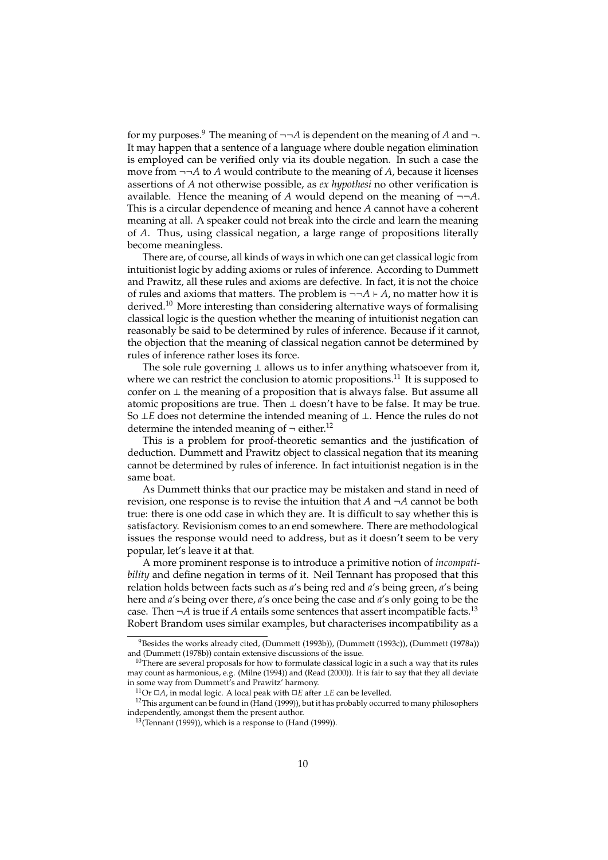for my purposes.<sup>9</sup> The meaning of  $\neg\neg A$  is dependent on the meaning of A and  $\neg$ . It may happen that a sentence of a language where double negation elimination is employed can be verified only via its double negation. In such a case the move from ¬¬*A* to *A* would contribute to the meaning of *A*, because it licenses assertions of *A* not otherwise possible, as *ex hypothesi* no other verification is available. Hence the meaning of  $A$  would depend on the meaning of  $\neg\neg A$ . This is a circular dependence of meaning and hence *A* cannot have a coherent meaning at all. A speaker could not break into the circle and learn the meaning of *A*. Thus, using classical negation, a large range of propositions literally become meaningless.

There are, of course, all kinds of ways in which one can get classical logic from intuitionist logic by adding axioms or rules of inference. According to Dummett and Prawitz, all these rules and axioms are defective. In fact, it is not the choice of rules and axioms that matters. The problem is  $\neg\neg A \vdash A$ , no matter how it is derived.<sup>10</sup> More interesting than considering alternative ways of formalising classical logic is the question whether the meaning of intuitionist negation can reasonably be said to be determined by rules of inference. Because if it cannot, the objection that the meaning of classical negation cannot be determined by rules of inference rather loses its force.

The sole rule governing ⊥ allows us to infer anything whatsoever from it, where we can restrict the conclusion to atomic propositions.<sup>11</sup> It is supposed to confer on ⊥ the meaning of a proposition that is always false. But assume all atomic propositions are true. Then  $\perp$  doesn't have to be false. It may be true. So ⊥*E* does not determine the intended meaning of ⊥. Hence the rules do not determine the intended meaning of  $\neg$  either.<sup>12</sup>

This is a problem for proof-theoretic semantics and the justification of deduction. Dummett and Prawitz object to classical negation that its meaning cannot be determined by rules of inference. In fact intuitionist negation is in the same boat.

As Dummett thinks that our practice may be mistaken and stand in need of revision, one response is to revise the intuition that *A* and ¬*A* cannot be both true: there is one odd case in which they are. It is difficult to say whether this is satisfactory. Revisionism comes to an end somewhere. There are methodological issues the response would need to address, but as it doesn't seem to be very popular, let's leave it at that.

A more prominent response is to introduce a primitive notion of *incompatibility* and define negation in terms of it. Neil Tennant has proposed that this relation holds between facts such as *a*'s being red and *a*'s being green, *a*'s being here and *a*'s being over there, *a*'s once being the case and *a*'s only going to be the case. Then  $\neg A$  is true if *A* entails some sentences that assert incompatible facts.<sup>13</sup> Robert Brandom uses similar examples, but characterises incompatibility as a

<sup>&</sup>lt;sup>9</sup>Besides the works already cited, (Dummett (1993b)), (Dummett (1993c)), (Dummett (1978a)) and (Dummett (1978b)) contain extensive discussions of the issue.

 $10$ There are several proposals for how to formulate classical logic in a such a way that its rules may count as harmonious, e.g. (Milne (1994)) and (Read (2000)). It is fair to say that they all deviate in some way from Dummett's and Prawitz' harmony.

<sup>&</sup>lt;sup>11</sup>Or □*A*, in modal logic. A local peak with □*E* after ⊥*E* can be levelled.

<sup>&</sup>lt;sup>12</sup>This argument can be found in (Hand (1999)), but it has probably occurred to many philosophers independently, amongst them the present author.

 $^{13}$ (Tennant (1999)), which is a response to (Hand (1999)).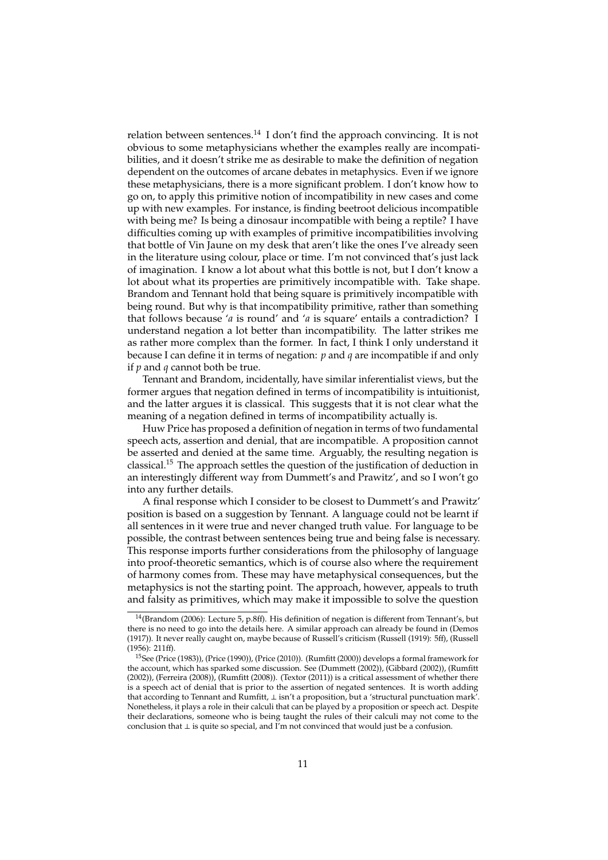relation between sentences.<sup>14</sup> I don't find the approach convincing. It is not obvious to some metaphysicians whether the examples really are incompatibilities, and it doesn't strike me as desirable to make the definition of negation dependent on the outcomes of arcane debates in metaphysics. Even if we ignore these metaphysicians, there is a more significant problem. I don't know how to go on, to apply this primitive notion of incompatibility in new cases and come up with new examples. For instance, is finding beetroot delicious incompatible with being me? Is being a dinosaur incompatible with being a reptile? I have difficulties coming up with examples of primitive incompatibilities involving that bottle of Vin Jaune on my desk that aren't like the ones I've already seen in the literature using colour, place or time. I'm not convinced that's just lack of imagination. I know a lot about what this bottle is not, but I don't know a lot about what its properties are primitively incompatible with. Take shape. Brandom and Tennant hold that being square is primitively incompatible with being round. But why is that incompatibility primitive, rather than something that follows because '*a* is round' and '*a* is square' entails a contradiction? I understand negation a lot better than incompatibility. The latter strikes me as rather more complex than the former. In fact, I think I only understand it because I can define it in terms of negation: *p* and *q* are incompatible if and only if *p* and *q* cannot both be true.

Tennant and Brandom, incidentally, have similar inferentialist views, but the former argues that negation defined in terms of incompatibility is intuitionist, and the latter argues it is classical. This suggests that it is not clear what the meaning of a negation defined in terms of incompatibility actually is.

Huw Price has proposed a definition of negation in terms of two fundamental speech acts, assertion and denial, that are incompatible. A proposition cannot be asserted and denied at the same time. Arguably, the resulting negation is classical.<sup>15</sup> The approach settles the question of the justification of deduction in an interestingly different way from Dummett's and Prawitz', and so I won't go into any further details.

A final response which I consider to be closest to Dummett's and Prawitz' position is based on a suggestion by Tennant. A language could not be learnt if all sentences in it were true and never changed truth value. For language to be possible, the contrast between sentences being true and being false is necessary. This response imports further considerations from the philosophy of language into proof-theoretic semantics, which is of course also where the requirement of harmony comes from. These may have metaphysical consequences, but the metaphysics is not the starting point. The approach, however, appeals to truth and falsity as primitives, which may make it impossible to solve the question

 $14$ (Brandom (2006): Lecture 5, p.8ff). His definition of negation is different from Tennant's, but there is no need to go into the details here. A similar approach can already be found in (Demos (1917)). It never really caught on, maybe because of Russell's criticism (Russell (1919): 5ff), (Russell (1956): 211ff).

<sup>&</sup>lt;sup>15</sup>See (Price (1983)), (Price (1990)), (Price (2010)). (Rumfitt (2000)) develops a formal framework for the account, which has sparked some discussion. See (Dummett (2002)), (Gibbard (2002)), (Rumfitt (2002)), (Ferreira (2008)), (Rumfitt (2008)). (Textor (2011)) is a critical assessment of whether there is a speech act of denial that is prior to the assertion of negated sentences. It is worth adding that according to Tennant and Rumfitt, ⊥ isn't a proposition, but a 'structural punctuation mark'. Nonetheless, it plays a role in their calculi that can be played by a proposition or speech act. Despite their declarations, someone who is being taught the rules of their calculi may not come to the conclusion that ⊥ is quite so special, and I'm not convinced that would just be a confusion.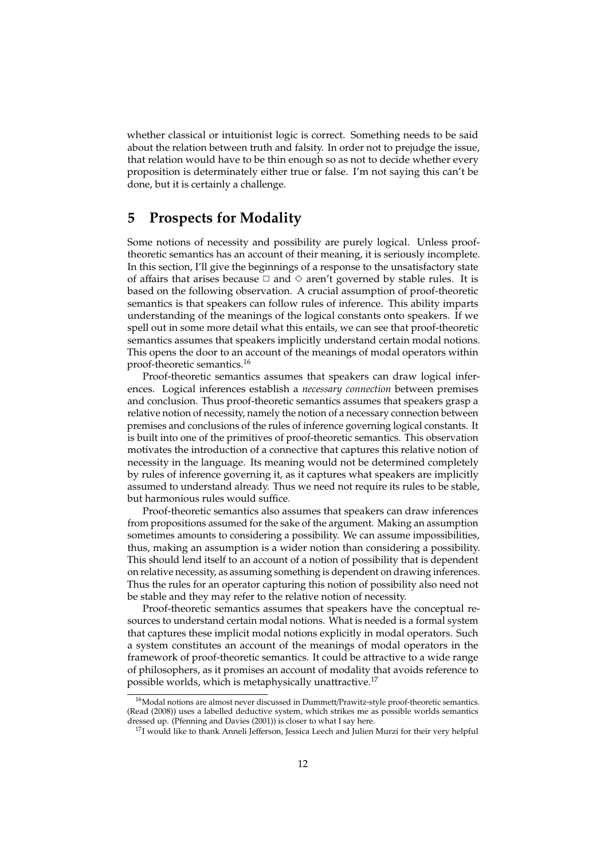whether classical or intuitionist logic is correct. Something needs to be said about the relation between truth and falsity. In order not to prejudge the issue, that relation would have to be thin enough so as not to decide whether every proposition is determinately either true or false. I'm not saying this can't be done, but it is certainly a challenge.

## **5 Prospects for Modality**

Some notions of necessity and possibility are purely logical. Unless prooftheoretic semantics has an account of their meaning, it is seriously incomplete. In this section, I'll give the beginnings of a response to the unsatisfactory state of affairs that arises because  $\Box$  and  $\diamond$  aren't governed by stable rules. It is based on the following observation. A crucial assumption of proof-theoretic semantics is that speakers can follow rules of inference. This ability imparts understanding of the meanings of the logical constants onto speakers. If we spell out in some more detail what this entails, we can see that proof-theoretic semantics assumes that speakers implicitly understand certain modal notions. This opens the door to an account of the meanings of modal operators within proof-theoretic semantics.<sup>16</sup>

Proof-theoretic semantics assumes that speakers can draw logical inferences. Logical inferences establish a *necessary connection* between premises and conclusion. Thus proof-theoretic semantics assumes that speakers grasp a relative notion of necessity, namely the notion of a necessary connection between premises and conclusions of the rules of inference governing logical constants. It is built into one of the primitives of proof-theoretic semantics. This observation motivates the introduction of a connective that captures this relative notion of necessity in the language. Its meaning would not be determined completely by rules of inference governing it, as it captures what speakers are implicitly assumed to understand already. Thus we need not require its rules to be stable, but harmonious rules would suffice.

Proof-theoretic semantics also assumes that speakers can draw inferences from propositions assumed for the sake of the argument. Making an assumption sometimes amounts to considering a possibility. We can assume impossibilities, thus, making an assumption is a wider notion than considering a possibility. This should lend itself to an account of a notion of possibility that is dependent on relative necessity, as assuming something is dependent on drawing inferences. Thus the rules for an operator capturing this notion of possibility also need not be stable and they may refer to the relative notion of necessity.

Proof-theoretic semantics assumes that speakers have the conceptual resources to understand certain modal notions. What is needed is a formal system that captures these implicit modal notions explicitly in modal operators. Such a system constitutes an account of the meanings of modal operators in the framework of proof-theoretic semantics. It could be attractive to a wide range of philosophers, as it promises an account of modality that avoids reference to possible worlds, which is metaphysically unattractive.<sup>17</sup>

<sup>&</sup>lt;sup>16</sup>Modal notions are almost never discussed in Dummett/Prawitz-style proof-theoretic semantics. (Read (2008)) uses a labelled deductive system, which strikes me as possible worlds semantics dressed up. (Pfenning and Davies (2001)) is closer to what I say here.

<sup>&</sup>lt;sup>17</sup>I would like to thank Anneli Jefferson, Jessica Leech and Julien Murzi for their very helpful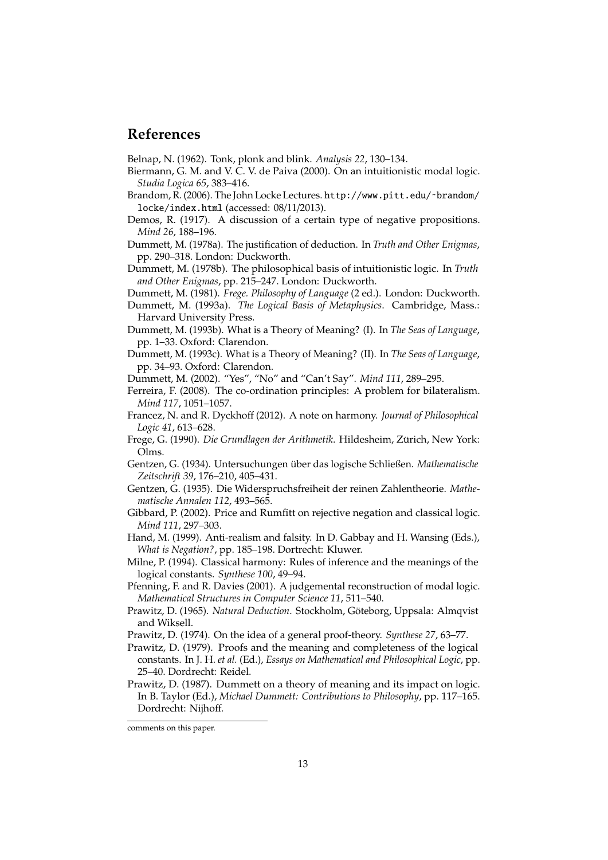## **References**

Belnap, N. (1962). Tonk, plonk and blink. *Analysis 22*, 130–134.

- Biermann, G. M. and V. C. V. de Paiva (2000). On an intuitionistic modal logic. *Studia Logica 65*, 383–416.
- Brandom, R. (2006). The John Locke Lectures. http://www.pitt.edu/˜brandom/ locke/index.html (accessed: 08/11/2013).
- Demos, R. (1917). A discussion of a certain type of negative propositions. *Mind 26*, 188–196.
- Dummett, M. (1978a). The justification of deduction. In *Truth and Other Enigmas*, pp. 290–318. London: Duckworth.
- Dummett, M. (1978b). The philosophical basis of intuitionistic logic. In *Truth and Other Enigmas*, pp. 215–247. London: Duckworth.
- Dummett, M. (1981). *Frege. Philosophy of Language* (2 ed.). London: Duckworth.
- Dummett, M. (1993a). *The Logical Basis of Metaphysics*. Cambridge, Mass.: Harvard University Press.
- Dummett, M. (1993b). What is a Theory of Meaning? (I). In *The Seas of Language*, pp. 1–33. Oxford: Clarendon.
- Dummett, M. (1993c). What is a Theory of Meaning? (II). In *The Seas of Language*, pp. 34–93. Oxford: Clarendon.
- Dummett, M. (2002). "Yes", "No" and "Can't Say". *Mind 111*, 289–295.
- Ferreira, F. (2008). The co-ordination principles: A problem for bilateralism. *Mind 117*, 1051–1057.
- Francez, N. and R. Dyckhoff (2012). A note on harmony. *Journal of Philosophical Logic 41*, 613–628.
- Frege, G. (1990). *Die Grundlagen der Arithmetik*. Hildesheim, Zurich, New York: ¨ Olms.
- Gentzen, G. (1934). Untersuchungen über das logische Schließen. Mathematische *Zeitschrift 39*, 176–210, 405–431.
- Gentzen, G. (1935). Die Widerspruchsfreiheit der reinen Zahlentheorie. *Mathematische Annalen 112*, 493–565.
- Gibbard, P. (2002). Price and Rumfitt on rejective negation and classical logic. *Mind 111*, 297–303.
- Hand, M. (1999). Anti-realism and falsity. In D. Gabbay and H. Wansing (Eds.), *What is Negation?*, pp. 185–198. Dortrecht: Kluwer.
- Milne, P. (1994). Classical harmony: Rules of inference and the meanings of the logical constants. *Synthese 100*, 49–94.
- Pfenning, F. and R. Davies (2001). A judgemental reconstruction of modal logic. *Mathematical Structures in Computer Science 11*, 511–540.
- Prawitz, D. (1965). *Natural Deduction*. Stockholm, Göteborg, Uppsala: Almqvist and Wiksell.
- Prawitz, D. (1974). On the idea of a general proof-theory. *Synthese 27*, 63–77.
- Prawitz, D. (1979). Proofs and the meaning and completeness of the logical constants. In J. H. *et al.* (Ed.), *Essays on Mathematical and Philosophical Logic*, pp. 25–40. Dordrecht: Reidel.
- Prawitz, D. (1987). Dummett on a theory of meaning and its impact on logic. In B. Taylor (Ed.), *Michael Dummett: Contributions to Philosophy*, pp. 117–165. Dordrecht: Nijhoff.

comments on this paper.